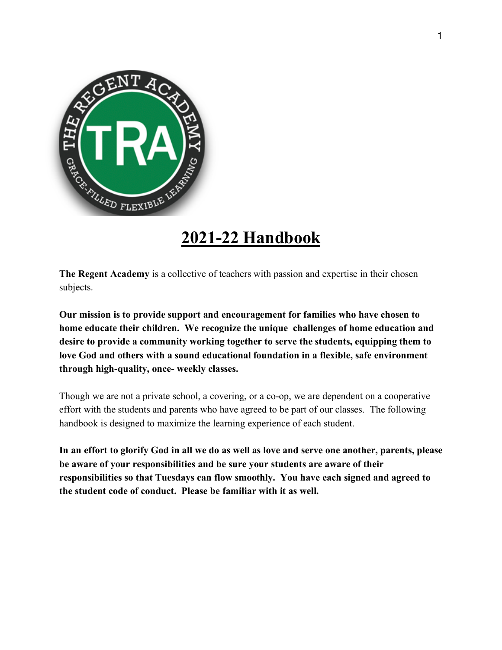

# **2021-22 Handbook**

**The Regent Academy** is a collective of teachers with passion and expertise in their chosen subjects.

**Our mission is to provide support and encouragement for families who have chosen to home educate their children. We recognize the unique challenges of home education and desire to provide a community working together to serve the students, equipping them to love God and others with a sound educational foundation in a flexible, safe environment through high-quality, once- weekly classes.** 

Though we are not a private school, a covering, or a co-op, we are dependent on a cooperative effort with the students and parents who have agreed to be part of our classes. The following handbook is designed to maximize the learning experience of each student.

In an effort to glorify God in all we do as well as love and serve one another, parents, please **be aware of your responsibilities and be sure your students are aware of their responsibilities so that Tuesdays can flow smoothly. You have each signed and agreed to the student code of conduct. Please be familiar with it as well.**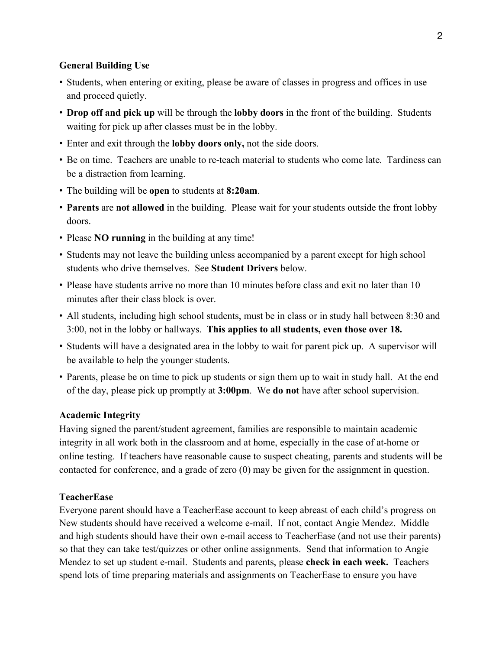## **General Building Use**

- ! Students, when entering or exiting, please be aware of classes in progress and offices in use and proceed quietly.
- ! **Drop off and pick up** will be through the **lobby doors** in the front of the building. Students waiting for pick up after classes must be in the lobby.
- ! Enter and exit through the **lobby doors only,** not the side doors.
- ! Be on time. Teachers are unable to re-teach material to students who come late. Tardiness can be a distraction from learning.
- ! The building will be **open** to students at **8:20am**.
- ! **Parents** are **not allowed** in the building. Please wait for your students outside the front lobby doors.
- ! Please **NO running** in the building at any time!
- ! Students may not leave the building unless accompanied by a parent except for high school students who drive themselves. See **Student Drivers** below.
- ! Please have students arrive no more than 10 minutes before class and exit no later than 10 minutes after their class block is over.
- ! All students, including high school students, must be in class or in study hall between 8:30 and 3:00, not in the lobby or hallways. **This applies to all students, even those over 18.**
- ! Students will have a designated area in the lobby to wait for parent pick up. A supervisor will be available to help the younger students.
- ! Parents, please be on time to pick up students or sign them up to wait in study hall. At the end of the day, please pick up promptly at **3:00pm**. We **do not** have after school supervision.

#### **Academic Integrity**

Having signed the parent/student agreement, families are responsible to maintain academic integrity in all work both in the classroom and at home, especially in the case of at-home or online testing. If teachers have reasonable cause to suspect cheating, parents and students will be contacted for conference, and a grade of zero (0) may be given for the assignment in question.

#### **TeacherEase**

Everyone parent should have a TeacherEase account to keep abreast of each child's progress on New students should have received a welcome e-mail. If not, contact Angie Mendez. Middle and high students should have their own e-mail access to TeacherEase (and not use their parents) so that they can take test/quizzes or other online assignments. Send that information to Angie Mendez to set up student e-mail. Students and parents, please **check in each week.** Teachers spend lots of time preparing materials and assignments on TeacherEase to ensure you have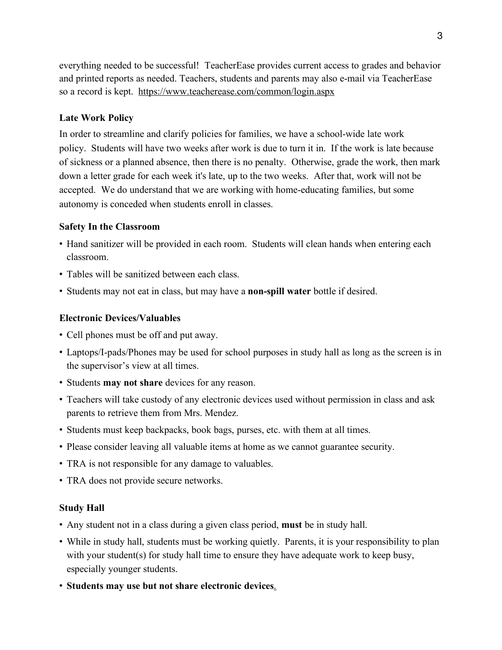everything needed to be successful! TeacherEase provides current access to grades and behavior and printed reports as needed. Teachers, students and parents may also e-mail via TeacherEase so a record is kept. https://www.teacherease.com/common/login.aspx

## **Late Work Policy**

In order to streamline and clarify policies for families, we have a school-wide late work policy. Students will have two weeks after work is due to turn it in. If the work is late because of sickness or a planned absence, then there is no penalty. Otherwise, grade the work, then mark down a letter grade for each week it's late, up to the two weeks. After that, work will not be accepted. We do understand that we are working with home-educating families, but some autonomy is conceded when students enroll in classes.

#### **Safety In the Classroom**

- ! Hand sanitizer will be provided in each room. Students will clean hands when entering each classroom.
- ! Tables will be sanitized between each class.
- ! Students may not eat in class, but may have a **non-spill water** bottle if desired.

## **Electronic Devices/Valuables**

- ! Cell phones must be off and put away.
- ! Laptops/I-pads/Phones may be used for school purposes in study hall as long as the screen is in the supervisor's view at all times.
- ! Students **may not share** devices for any reason.
- ! Teachers will take custody of any electronic devices used without permission in class and ask parents to retrieve them from Mrs. Mendez.
- ! Students must keep backpacks, book bags, purses, etc. with them at all times.
- ! Please consider leaving all valuable items at home as we cannot guarantee security.
- TRA is not responsible for any damage to valuables.
- ! TRA does not provide secure networks.

#### **Study Hall**

- ! Any student not in a class during a given class period, **must** be in study hall.
- ! While in study hall, students must be working quietly. Parents, it is your responsibility to plan with your student(s) for study hall time to ensure they have adequate work to keep busy, especially younger students.
- ! **Students may use but not share electronic devices**.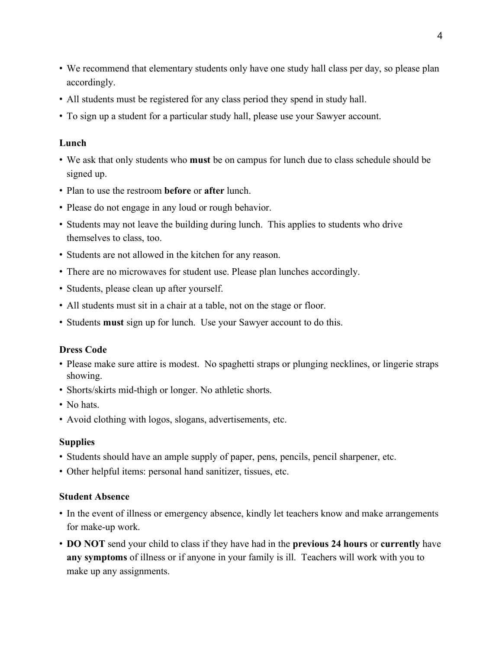- ! We recommend that elementary students only have one study hall class per day, so please plan accordingly.
- ! All students must be registered for any class period they spend in study hall.
- ! To sign up a student for a particular study hall, please use your Sawyer account.

## **Lunch**

- ! We ask that only students who **must** be on campus for lunch due to class schedule should be signed up.
- ! Plan to use the restroom **before** or **after** lunch.
- ! Please do not engage in any loud or rough behavior.
- ! Students may not leave the building during lunch. This applies to students who drive themselves to class, too.
- ! Students are not allowed in the kitchen for any reason.
- ! There are no microwaves for student use. Please plan lunches accordingly.
- ! Students, please clean up after yourself.
- ! All students must sit in a chair at a table, not on the stage or floor.
- ! Students **must** sign up for lunch. Use your Sawyer account to do this.

## **Dress Code**

- ! Please make sure attire is modest. No spaghetti straps or plunging necklines, or lingerie straps showing.
- ! Shorts/skirts mid-thigh or longer. No athletic shorts.
- No hats.
- ! Avoid clothing with logos, slogans, advertisements, etc.

#### **Supplies**

- ! Students should have an ample supply of paper, pens, pencils, pencil sharpener, etc.
- ! Other helpful items: personal hand sanitizer, tissues, etc.

#### **Student Absence**

- ! In the event of illness or emergency absence, kindly let teachers know and make arrangements for make-up work.
- ! **DO NOT** send your child to class if they have had in the **previous 24 hours** or **currently** have **any symptoms** of illness or if anyone in your family is ill. Teachers will work with you to make up any assignments.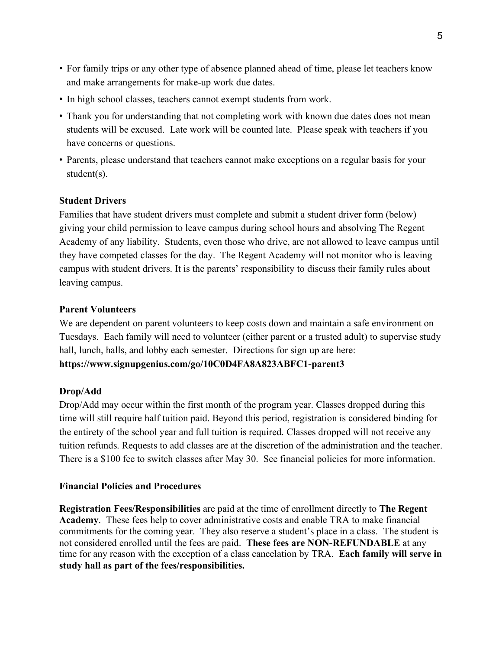- ! For family trips or any other type of absence planned ahead of time, please let teachers know and make arrangements for make-up work due dates.
- ! In high school classes, teachers cannot exempt students from work.
- ! Thank you for understanding that not completing work with known due dates does not mean students will be excused. Late work will be counted late. Please speak with teachers if you have concerns or questions.
- ! Parents, please understand that teachers cannot make exceptions on a regular basis for your student(s).

## **Student Drivers**

Families that have student drivers must complete and submit a student driver form (below) giving your child permission to leave campus during school hours and absolving The Regent Academy of any liability. Students, even those who drive, are not allowed to leave campus until they have competed classes for the day. The Regent Academy will not monitor who is leaving campus with student drivers. It is the parents' responsibility to discuss their family rules about leaving campus.

## **Parent Volunteers**

We are dependent on parent volunteers to keep costs down and maintain a safe environment on Tuesdays. Each family will need to volunteer (either parent or a trusted adult) to supervise study hall, lunch, halls, and lobby each semester. Directions for sign up are here: **https://www.signupgenius.com/go/10C0D4FA8A823ABFC1-parent3**

## **Drop/Add**

Drop/Add may occur within the first month of the program year. Classes dropped during this time will still require half tuition paid. Beyond this period, registration is considered binding for the entirety of the school year and full tuition is required. Classes dropped will not receive any tuition refunds. Requests to add classes are at the discretion of the administration and the teacher. There is a \$100 fee to switch classes after May 30. See financial policies for more information.

## **Financial Policies and Procedures**

**Registration Fees/Responsibilities** are paid at the time of enrollment directly to **The Regent Academy**. These fees help to cover administrative costs and enable TRA to make financial commitments for the coming year. They also reserve a student's place in a class. The student is not considered enrolled until the fees are paid. **These fees are NON-REFUNDABLE** at any time for any reason with the exception of a class cancelation by TRA. **Each family will serve in study hall as part of the fees/responsibilities.**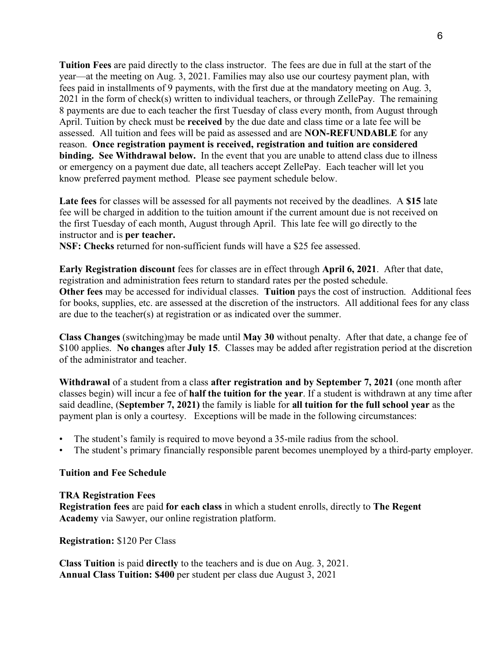**Tuition Fees** are paid directly to the class instructor. The fees are due in full at the start of the year—at the meeting on Aug. 3, 2021. Families may also use our courtesy payment plan, with fees paid in installments of 9 payments, with the first due at the mandatory meeting on Aug. 3, 2021 in the form of check(s) written to individual teachers, or through ZellePay. The remaining 8 payments are due to each teacher the first Tuesday of class every month, from August through April. Tuition by check must be **received** by the due date and class time or a late fee will be assessed. All tuition and fees will be paid as assessed and are **NON-REFUNDABLE** for any reason. **Once registration payment is received, registration and tuition are considered binding. See Withdrawal below.** In the event that you are unable to attend class due to illness or emergency on a payment due date, all teachers accept ZellePay. Each teacher will let you know preferred payment method. Please see payment schedule below.

**Late fees** for classes will be assessed for all payments not received by the deadlines. A **\$15** late fee will be charged in addition to the tuition amount if the current amount due is not received on the first Tuesday of each month, August through April. This late fee will go directly to the instructor and is **per teacher.**

**NSF: Checks** returned for non-sufficient funds will have a \$25 fee assessed.

**Early Registration discount** fees for classes are in effect through **April 6, 2021**. After that date, registration and administration fees return to standard rates per the posted schedule. **Other fees** may be accessed for individual classes. **Tuition** pays the cost of instruction. Additional fees for books, supplies, etc. are assessed at the discretion of the instructors. All additional fees for any class are due to the teacher(s) at registration or as indicated over the summer.

**Class Changes** (switching)may be made until **May 30** without penalty. After that date, a change fee of \$100 applies. **No changes** after **July 15**. Classes may be added after registration period at the discretion of the administrator and teacher.

**Withdrawal** of a student from a class **after registration and by September 7, 2021** (one month after classes begin) will incur a fee of **half the tuition for the year**. If a student is withdrawn at any time after said deadline, (**September 7, 2021)** the family is liable for **all tuition for the full school year** as the payment plan is only a courtesy. Exceptions will be made in the following circumstances:

- The student's family is required to move beyond a 35-mile radius from the school.
- The student's primary financially responsible parent becomes unemployed by a third-party employer.

#### **Tuition and Fee Schedule**

#### **TRA Registration Fees**

**Registration fees** are paid **for each class** in which a student enrolls, directly to **The Regent Academy** via Sawyer, our online registration platform.

**Registration:** \$120 Per Class

**Class Tuition** is paid **directly** to the teachers and is due on Aug. 3, 2021. **Annual Class Tuition: \$400** per student per class due August 3, 2021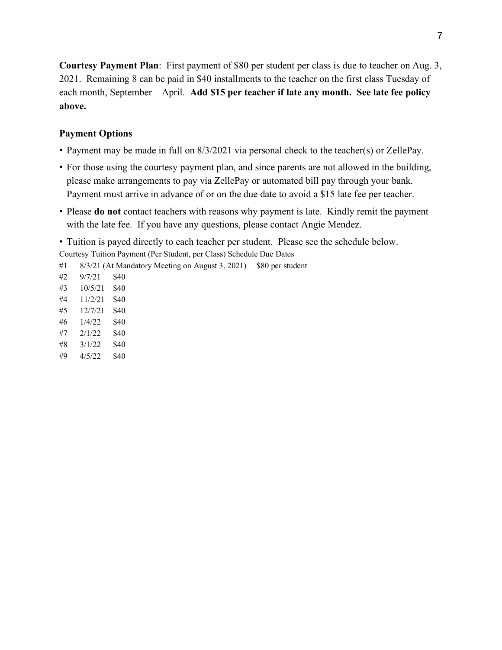**Courtesy Payment Plan**: First payment of \$80 per student per class is due to teacher on Aug. 3, 2021. Remaining 8 can be paid in \$40 installments to the teacher on the first class Tuesday of each month, September—April. **Add \$15 per teacher if late any month. See late fee policy above.** 

## **Payment Options**

- ! Payment may be made in full on 8/3/2021 via personal check to the teacher(s) or ZellePay.
- ! For those using the courtesy payment plan, and since parents are not allowed in the building, please make arrangements to pay via ZellePay or automated bill pay through your bank. Payment must arrive in advance of or on the due date to avoid a \$15 late fee per teacher.
- ! Please **do not** contact teachers with reasons why payment is late. Kindly remit the payment with the late fee. If you have any questions, please contact Angie Mendez.

! Tuition is payed directly to each teacher per student. Please see the schedule below. Courtesy Tuition Payment (Per Student, per Class) Schedule Due Dates

- #1 8/3/21 (At Mandatory Meeting on August 3, 2021) \$80 per student
- #2 9/7/21 \$40 #3 10/5/21 \$40 #4 11/2/21 \$40 #5 12/7/21 \$40 #6 1/4/22 \$40
- 
- #7 2/1/22 \$40
- #8 3/1/22 \$40 #9 4/5/22 \$40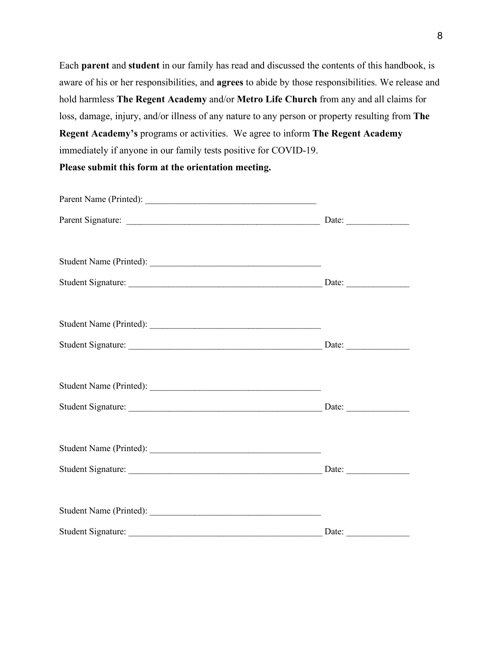Each **parent** and **student** in our family has read and discussed the contents of this handbook, is aware of his or her responsibilities, and **agrees** to abide by those responsibilities. We release and hold harmless **The Regent Academy** and/or **Metro Life Church** from any and all claims for loss, damage, injury, and/or illness of any nature to any person or property resulting from **The Regent Academy's** programs or activities. We agree to inform **The Regent Academy** immediately if anyone in our family tests positive for COVID-19.

**Please submit this form at the orientation meeting.**

| Parent Name (Printed):         |  |
|--------------------------------|--|
|                                |  |
|                                |  |
| Student Signature: Date: Date: |  |
|                                |  |
|                                |  |
|                                |  |
|                                |  |
|                                |  |
|                                |  |
|                                |  |
|                                |  |